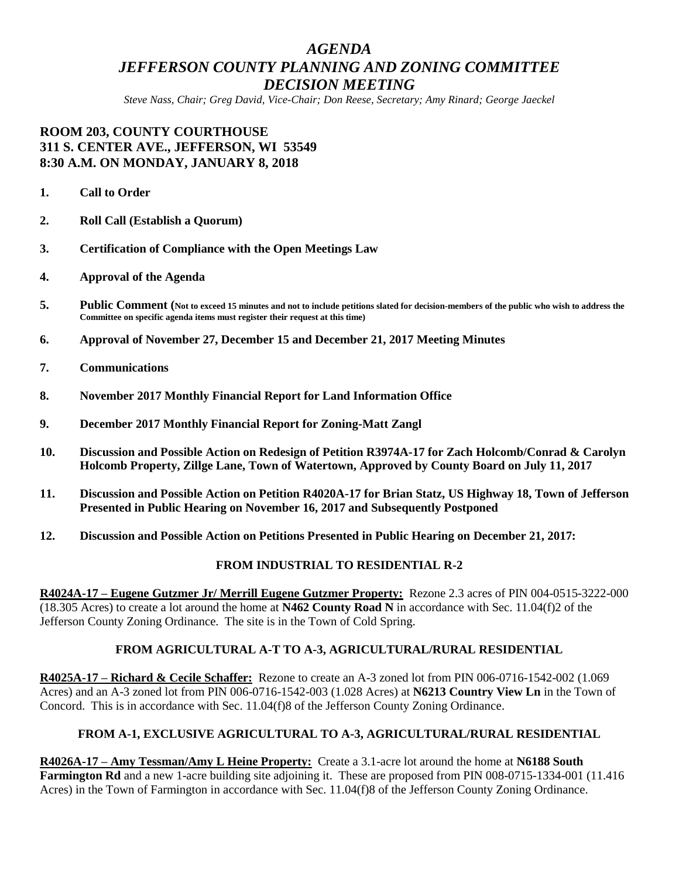# *AGENDA JEFFERSON COUNTY PLANNING AND ZONING COMMITTEE DECISION MEETING*

*Steve Nass, Chair; Greg David, Vice-Chair; Don Reese, Secretary; Amy Rinard; George Jaeckel*

# **ROOM 203, COUNTY COURTHOUSE 311 S. CENTER AVE., JEFFERSON, WI 53549 8:30 A.M. ON MONDAY, JANUARY 8, 2018**

- **1. Call to Order**
- **2. Roll Call (Establish a Quorum)**
- **3. Certification of Compliance with the Open Meetings Law**
- **4. Approval of the Agenda**
- **5. Public Comment (Not to exceed 15 minutes and not to include petitions slated for decision-members of the public who wish to address the Committee on specific agenda items must register their request at this time)**
- **6. Approval of November 27, December 15 and December 21, 2017 Meeting Minutes**
- **7. Communications**
- **8. November 2017 Monthly Financial Report for Land Information Office**
- **9. December 2017 Monthly Financial Report for Zoning-Matt Zangl**
- **10. Discussion and Possible Action on Redesign of Petition R3974A-17 for Zach Holcomb/Conrad & Carolyn Holcomb Property, Zillge Lane, Town of Watertown, Approved by County Board on July 11, 2017**
- **11. Discussion and Possible Action on Petition R4020A-17 for Brian Statz, US Highway 18, Town of Jefferson Presented in Public Hearing on November 16, 2017 and Subsequently Postponed**
- **12. Discussion and Possible Action on Petitions Presented in Public Hearing on December 21, 2017:**

#### **FROM INDUSTRIAL TO RESIDENTIAL R-2**

**R4024A-17 – Eugene Gutzmer Jr/ Merrill Eugene Gutzmer Property:** Rezone 2.3 acres of PIN 004-0515-3222-000 (18.305 Acres) to create a lot around the home at **N462 County Road N** in accordance with Sec. 11.04(f)2 of the Jefferson County Zoning Ordinance. The site is in the Town of Cold Spring.

## **FROM AGRICULTURAL A-T TO A-3, AGRICULTURAL/RURAL RESIDENTIAL**

**R4025A-17 – Richard & Cecile Schaffer:** Rezone to create an A-3 zoned lot from PIN 006-0716-1542-002 (1.069 Acres) and an A-3 zoned lot from PIN 006-0716-1542-003 (1.028 Acres) at **N6213 Country View Ln** in the Town of Concord. This is in accordance with Sec. 11.04(f)8 of the Jefferson County Zoning Ordinance.

#### **FROM A-1, EXCLUSIVE AGRICULTURAL TO A-3, AGRICULTURAL/RURAL RESIDENTIAL**

**R4026A-17 – Amy Tessman/Amy L Heine Property:** Create a 3.1-acre lot around the home at **N6188 South Farmington Rd** and a new 1-acre building site adjoining it. These are proposed from PIN 008-0715-1334-001 (11.416 Acres) in the Town of Farmington in accordance with Sec. 11.04(f)8 of the Jefferson County Zoning Ordinance.